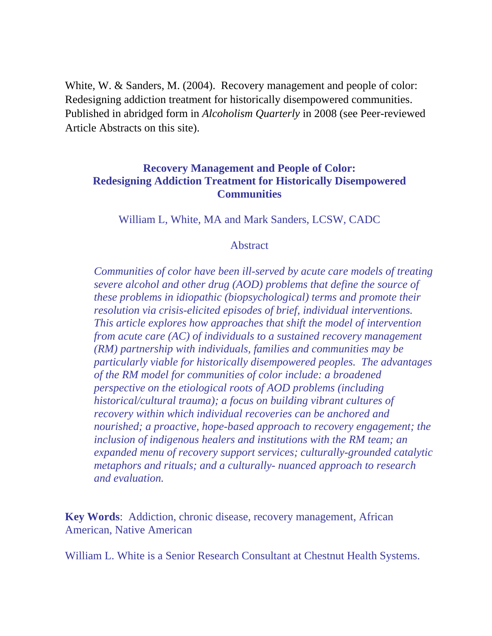White, W. & Sanders, M. (2004). Recovery management and people of color: Redesigning addiction treatment for historically disempowered communities. Published in abridged form in *Alcoholism Quarterly* in 2008 (see Peer-reviewed Article Abstracts on this site).

# **Recovery Management and People of Color: Redesigning Addiction Treatment for Historically Disempowered Communities**

William L, White, MA and Mark Sanders, LCSW, CADC

### Abstract

*Communities of color have been ill-served by acute care models of treating severe alcohol and other drug (AOD) problems that define the source of these problems in idiopathic (biopsychological) terms and promote their resolution via crisis-elicited episodes of brief, individual interventions. This article explores how approaches that shift the model of intervention from acute care (AC) of individuals to a sustained recovery management (RM) partnership with individuals, families and communities may be particularly viable for historically disempowered peoples. The advantages of the RM model for communities of color include: a broadened perspective on the etiological roots of AOD problems (including historical/cultural trauma); a focus on building vibrant cultures of recovery within which individual recoveries can be anchored and nourished; a proactive, hope-based approach to recovery engagement; the inclusion of indigenous healers and institutions with the RM team; an expanded menu of recovery support services; culturally-grounded catalytic metaphors and rituals; and a culturally- nuanced approach to research and evaluation.* 

**Key Words**: Addiction, chronic disease, recovery management, African American, Native American

William L. White is a Senior Research Consultant at Chestnut Health Systems.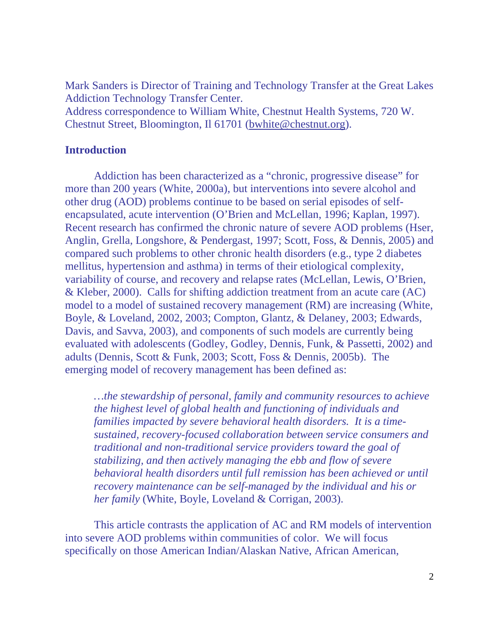Mark Sanders is Director of Training and Technology Transfer at the Great Lakes Addiction Technology Transfer Center.

Address correspondence to William White, Chestnut Health Systems, 720 W. Chestnut Street, Bloomington, Il 61701 [\(bwhite@chestnut.org\)](mailto:bwhite@chestnut.org).

### **Introduction**

Addiction has been characterized as a "chronic, progressive disease" for more than 200 years (White, 2000a), but interventions into severe alcohol and other drug (AOD) problems continue to be based on serial episodes of selfencapsulated, acute intervention (O'Brien and McLellan, 1996; Kaplan, 1997). Recent research has confirmed the chronic nature of severe AOD problems (Hser, Anglin, Grella, Longshore, & Pendergast, 1997; Scott, Foss, & Dennis, 2005) and compared such problems to other chronic health disorders (e.g., type 2 diabetes mellitus, hypertension and asthma) in terms of their etiological complexity, variability of course, and recovery and relapse rates (McLellan, Lewis, O'Brien, & Kleber, 2000). Calls for shifting addiction treatment from an acute care (AC) model to a model of sustained recovery management (RM) are increasing (White, Boyle, & Loveland, 2002, 2003; Compton, Glantz, & Delaney, 2003; Edwards, Davis, and Savva, 2003), and components of such models are currently being evaluated with adolescents (Godley, Godley, Dennis, Funk, & Passetti, 2002) and adults (Dennis, Scott & Funk, 2003; Scott, Foss & Dennis, 2005b). The emerging model of recovery management has been defined as:

*…the stewardship of personal, family and community resources to achieve the highest level of global health and functioning of individuals and families impacted by severe behavioral health disorders. It is a timesustained, recovery-focused collaboration between service consumers and traditional and non-traditional service providers toward the goal of stabilizing, and then actively managing the ebb and flow of severe behavioral health disorders until full remission has been achieved or until recovery maintenance can be self-managed by the individual and his or her family* (White, Boyle, Loveland & Corrigan, 2003).

 This article contrasts the application of AC and RM models of intervention into severe AOD problems within communities of color. We will focus specifically on those American Indian/Alaskan Native, African American,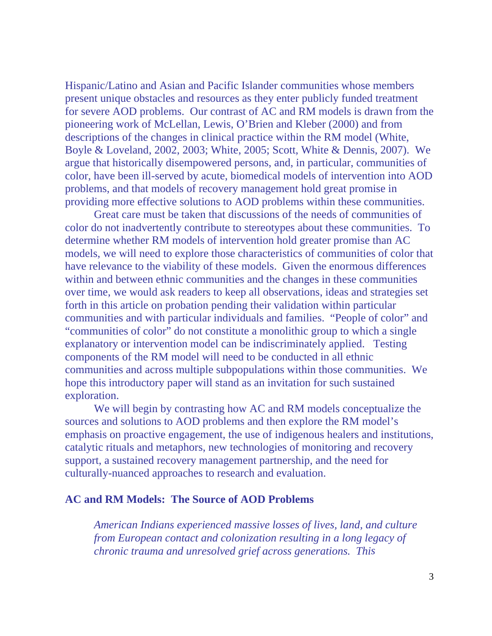Hispanic/Latino and Asian and Pacific Islander communities whose members present unique obstacles and resources as they enter publicly funded treatment for severe AOD problems. Our contrast of AC and RM models is drawn from the pioneering work of McLellan, Lewis, O'Brien and Kleber (2000) and from descriptions of the changes in clinical practice within the RM model (White, Boyle & Loveland, 2002, 2003; White, 2005; Scott, White & Dennis, 2007). We argue that historically disempowered persons, and, in particular, communities of color, have been ill-served by acute, biomedical models of intervention into AOD problems, and that models of recovery management hold great promise in providing more effective solutions to AOD problems within these communities.

 Great care must be taken that discussions of the needs of communities of color do not inadvertently contribute to stereotypes about these communities. To determine whether RM models of intervention hold greater promise than AC models, we will need to explore those characteristics of communities of color that have relevance to the viability of these models. Given the enormous differences within and between ethnic communities and the changes in these communities over time, we would ask readers to keep all observations, ideas and strategies set forth in this article on probation pending their validation within particular communities and with particular individuals and families. "People of color" and "communities of color" do not constitute a monolithic group to which a single explanatory or intervention model can be indiscriminately applied. Testing components of the RM model will need to be conducted in all ethnic communities and across multiple subpopulations within those communities. We hope this introductory paper will stand as an invitation for such sustained exploration.

We will begin by contrasting how AC and RM models conceptualize the sources and solutions to AOD problems and then explore the RM model's emphasis on proactive engagement, the use of indigenous healers and institutions, catalytic rituals and metaphors, new technologies of monitoring and recovery support, a sustained recovery management partnership, and the need for culturally-nuanced approaches to research and evaluation.

### **AC and RM Models: The Source of AOD Problems**

*American Indians experienced massive losses of lives, land, and culture from European contact and colonization resulting in a long legacy of chronic trauma and unresolved grief across generations. This*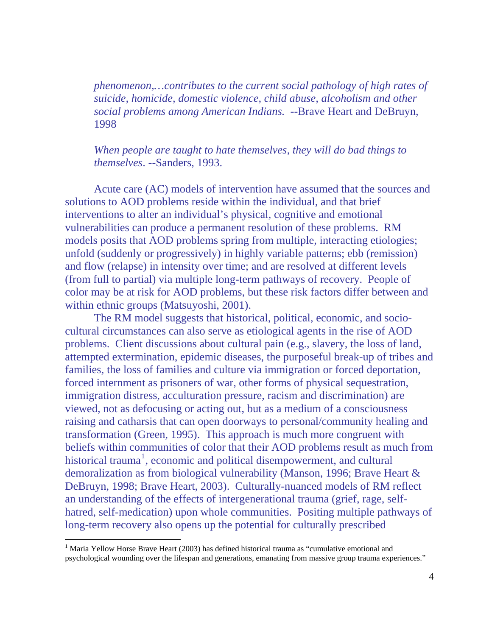*phenomenon,…contributes to the current social pathology of high rates of suicide, homicide, domestic violence, child abuse, alcoholism and other social problems among American Indians. --*Brave Heart and DeBruyn, 1998

*When people are taught to hate themselves, they will do bad things to themselves*. --Sanders, 1993.

Acute care (AC) models of intervention have assumed that the sources and solutions to AOD problems reside within the individual, and that brief interventions to alter an individual's physical, cognitive and emotional vulnerabilities can produce a permanent resolution of these problems. RM models posits that AOD problems spring from multiple, interacting etiologies; unfold (suddenly or progressively) in highly variable patterns; ebb (remission) and flow (relapse) in intensity over time; and are resolved at different levels (from full to partial) via multiple long-term pathways of recovery. People of color may be at risk for AOD problems, but these risk factors differ between and within ethnic groups (Matsuyoshi, 2001).

The RM model suggests that historical, political, economic, and sociocultural circumstances can also serve as etiological agents in the rise of AOD problems. Client discussions about cultural pain (e.g., slavery, the loss of land, attempted extermination, epidemic diseases, the purposeful break-up of tribes and families, the loss of families and culture via immigration or forced deportation, forced internment as prisoners of war, other forms of physical sequestration, immigration distress, acculturation pressure, racism and discrimination) are viewed, not as defocusing or acting out, but as a medium of a consciousness raising and catharsis that can open doorways to personal/community healing and transformation (Green, 1995). This approach is much more congruent with beliefs within communities of color that their AOD problems result as much from historical trauma<sup>[1](#page-3-0)</sup>, economic and political disempowerment, and cultural demoralization as from biological vulnerability (Manson, 1996; Brave Heart & DeBruyn, 1998; Brave Heart, 2003). Culturally-nuanced models of RM reflect an understanding of the effects of intergenerational trauma (grief, rage, selfhatred, self-medication) upon whole communities. Positing multiple pathways of long-term recovery also opens up the potential for culturally prescribed

 $\overline{a}$ 

<span id="page-3-0"></span><sup>&</sup>lt;sup>1</sup> Maria Yellow Horse Brave Heart (2003) has defined historical trauma as "cumulative emotional and psychological wounding over the lifespan and generations, emanating from massive group trauma experiences."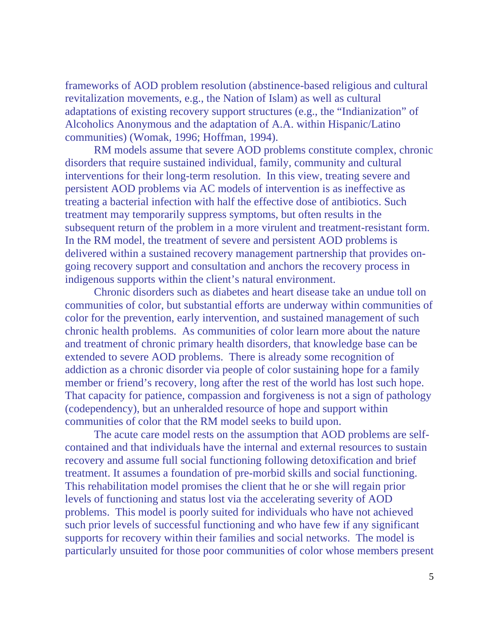frameworks of AOD problem resolution (abstinence-based religious and cultural revitalization movements, e.g., the Nation of Islam) as well as cultural adaptations of existing recovery support structures (e.g., the "Indianization" of Alcoholics Anonymous and the adaptation of A.A. within Hispanic/Latino communities) (Womak, 1996; Hoffman, 1994).

RM models assume that severe AOD problems constitute complex, chronic disorders that require sustained individual, family, community and cultural interventions for their long-term resolution. In this view, treating severe and persistent AOD problems via AC models of intervention is as ineffective as treating a bacterial infection with half the effective dose of antibiotics. Such treatment may temporarily suppress symptoms, but often results in the subsequent return of the problem in a more virulent and treatment-resistant form. In the RM model, the treatment of severe and persistent AOD problems is delivered within a sustained recovery management partnership that provides ongoing recovery support and consultation and anchors the recovery process in indigenous supports within the client's natural environment.

Chronic disorders such as diabetes and heart disease take an undue toll on communities of color, but substantial efforts are underway within communities of color for the prevention, early intervention, and sustained management of such chronic health problems. As communities of color learn more about the nature and treatment of chronic primary health disorders, that knowledge base can be extended to severe AOD problems. There is already some recognition of addiction as a chronic disorder via people of color sustaining hope for a family member or friend's recovery, long after the rest of the world has lost such hope. That capacity for patience, compassion and forgiveness is not a sign of pathology (codependency), but an unheralded resource of hope and support within communities of color that the RM model seeks to build upon.

 The acute care model rests on the assumption that AOD problems are selfcontained and that individuals have the internal and external resources to sustain recovery and assume full social functioning following detoxification and brief treatment. It assumes a foundation of pre-morbid skills and social functioning. This rehabilitation model promises the client that he or she will regain prior levels of functioning and status lost via the accelerating severity of AOD problems. This model is poorly suited for individuals who have not achieved such prior levels of successful functioning and who have few if any significant supports for recovery within their families and social networks. The model is particularly unsuited for those poor communities of color whose members present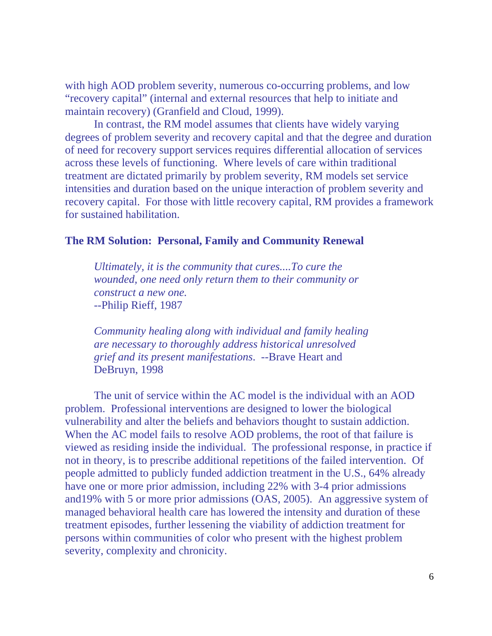with high AOD problem severity, numerous co-occurring problems, and low "recovery capital" (internal and external resources that help to initiate and maintain recovery) (Granfield and Cloud, 1999).

 In contrast, the RM model assumes that clients have widely varying degrees of problem severity and recovery capital and that the degree and duration of need for recovery support services requires differential allocation of services across these levels of functioning. Where levels of care within traditional treatment are dictated primarily by problem severity, RM models set service intensities and duration based on the unique interaction of problem severity and recovery capital. For those with little recovery capital, RM provides a framework for sustained habilitation.

#### **The RM Solution: Personal, Family and Community Renewal**

*Ultimately, it is the community that cures....To cure the wounded, one need only return them to their community or construct a new one.*  --Philip Rieff, 1987

*Community healing along with individual and family healing are necessary to thoroughly address historical unresolved grief and its present manifestations*. --Brave Heart and DeBruyn, 1998

The unit of service within the AC model is the individual with an AOD problem. Professional interventions are designed to lower the biological vulnerability and alter the beliefs and behaviors thought to sustain addiction. When the AC model fails to resolve AOD problems, the root of that failure is viewed as residing inside the individual. The professional response, in practice if not in theory, is to prescribe additional repetitions of the failed intervention. Of people admitted to publicly funded addiction treatment in the U.S., 64% already have one or more prior admission, including 22% with 3-4 prior admissions and19% with 5 or more prior admissions (OAS, 2005). An aggressive system of managed behavioral health care has lowered the intensity and duration of these treatment episodes, further lessening the viability of addiction treatment for persons within communities of color who present with the highest problem severity, complexity and chronicity.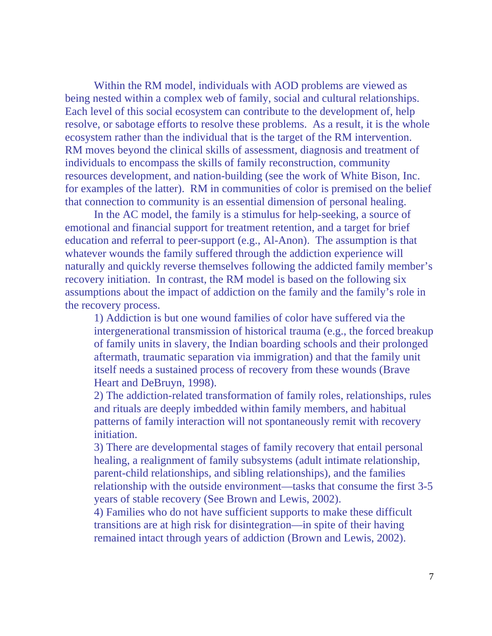Within the RM model, individuals with AOD problems are viewed as being nested within a complex web of family, social and cultural relationships. Each level of this social ecosystem can contribute to the development of, help resolve, or sabotage efforts to resolve these problems. As a result, it is the whole ecosystem rather than the individual that is the target of the RM intervention. RM moves beyond the clinical skills of assessment, diagnosis and treatment of individuals to encompass the skills of family reconstruction, community resources development, and nation-building (see the work of White Bison, Inc. for examples of the latter). RM in communities of color is premised on the belief that connection to community is an essential dimension of personal healing.

 In the AC model, the family is a stimulus for help-seeking, a source of emotional and financial support for treatment retention, and a target for brief education and referral to peer-support (e.g., Al-Anon). The assumption is that whatever wounds the family suffered through the addiction experience will naturally and quickly reverse themselves following the addicted family member's recovery initiation. In contrast, the RM model is based on the following six assumptions about the impact of addiction on the family and the family's role in the recovery process.

1) Addiction is but one wound families of color have suffered via the intergenerational transmission of historical trauma (e.g., the forced breakup of family units in slavery, the Indian boarding schools and their prolonged aftermath, traumatic separation via immigration) and that the family unit itself needs a sustained process of recovery from these wounds (Brave Heart and DeBruyn, 1998).

2) The addiction-related transformation of family roles, relationships, rules and rituals are deeply imbedded within family members, and habitual patterns of family interaction will not spontaneously remit with recovery initiation.

3) There are developmental stages of family recovery that entail personal healing, a realignment of family subsystems (adult intimate relationship, parent-child relationships, and sibling relationships), and the families relationship with the outside environment—tasks that consume the first 3-5 years of stable recovery (See Brown and Lewis, 2002).

4) Families who do not have sufficient supports to make these difficult transitions are at high risk for disintegration—in spite of their having remained intact through years of addiction (Brown and Lewis, 2002).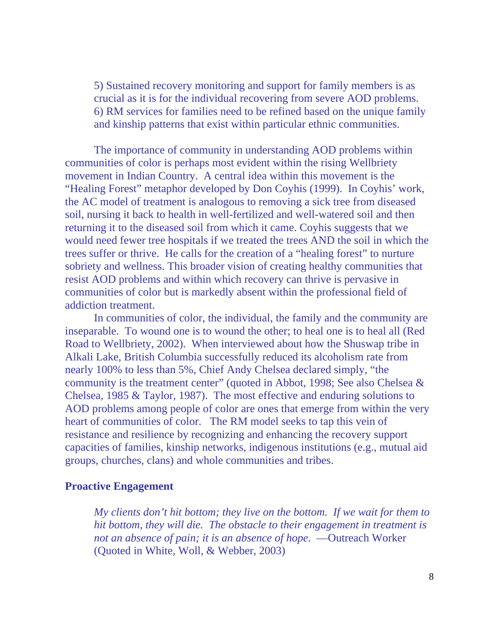5) Sustained recovery monitoring and support for family members is as crucial as it is for the individual recovering from severe AOD problems. 6) RM services for families need to be refined based on the unique family and kinship patterns that exist within particular ethnic communities.

 The importance of community in understanding AOD problems within communities of color is perhaps most evident within the rising Wellbriety movement in Indian Country. A central idea within this movement is the "Healing Forest" metaphor developed by Don Coyhis (1999). In Coyhis' work, the AC model of treatment is analogous to removing a sick tree from diseased soil, nursing it back to health in well-fertilized and well-watered soil and then returning it to the diseased soil from which it came. Coyhis suggests that we would need fewer tree hospitals if we treated the trees AND the soil in which the trees suffer or thrive. He calls for the creation of a "healing forest" to nurture sobriety and wellness. This broader vision of creating healthy communities that resist AOD problems and within which recovery can thrive is pervasive in communities of color but is markedly absent within the professional field of addiction treatment.

 In communities of color, the individual, the family and the community are inseparable. To wound one is to wound the other; to heal one is to heal all (Red Road to Wellbriety, 2002). When interviewed about how the Shuswap tribe in Alkali Lake, British Columbia successfully reduced its alcoholism rate from nearly 100% to less than 5%, Chief Andy Chelsea declared simply, "the community is the treatment center" (quoted in Abbot, 1998; See also Chelsea & Chelsea, 1985 & Taylor, 1987). The most effective and enduring solutions to AOD problems among people of color are ones that emerge from within the very heart of communities of color. The RM model seeks to tap this vein of resistance and resilience by recognizing and enhancing the recovery support capacities of families, kinship networks, indigenous institutions (e.g., mutual aid groups, churches, clans) and whole communities and tribes.

### **Proactive Engagement**

*My clients don't hit bottom; they live on the bottom. If we wait for them to hit bottom, they will die. The obstacle to their engagement in treatment is not an absence of pain; it is an absence of hope*. —Outreach Worker (Quoted in White, Woll, & Webber, 2003)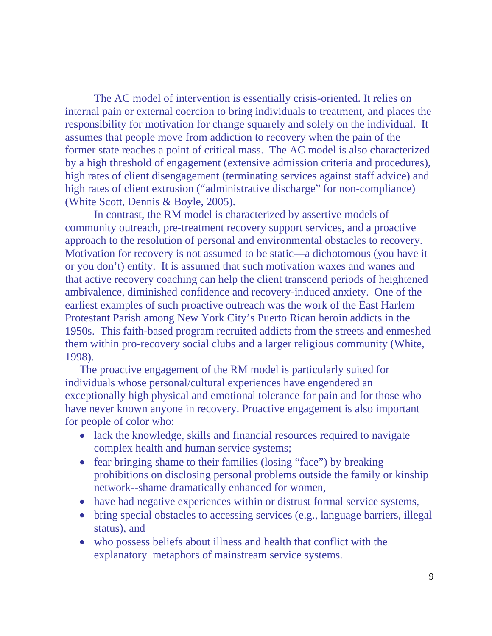The AC model of intervention is essentially crisis-oriented. It relies on internal pain or external coercion to bring individuals to treatment, and places the responsibility for motivation for change squarely and solely on the individual. It assumes that people move from addiction to recovery when the pain of the former state reaches a point of critical mass. The AC model is also characterized by a high threshold of engagement (extensive admission criteria and procedures), high rates of client disengagement (terminating services against staff advice) and high rates of client extrusion ("administrative discharge" for non-compliance) (White Scott, Dennis & Boyle, 2005).

 In contrast, the RM model is characterized by assertive models of community outreach, pre-treatment recovery support services, and a proactive approach to the resolution of personal and environmental obstacles to recovery. Motivation for recovery is not assumed to be static—a dichotomous (you have it or you don't) entity. It is assumed that such motivation waxes and wanes and that active recovery coaching can help the client transcend periods of heightened ambivalence, diminished confidence and recovery-induced anxiety. One of the earliest examples of such proactive outreach was the work of the East Harlem Protestant Parish among New York City's Puerto Rican heroin addicts in the 1950s. This faith-based program recruited addicts from the streets and enmeshed them within pro-recovery social clubs and a larger religious community (White, 1998).

The proactive engagement of the RM model is particularly suited for individuals whose personal/cultural experiences have engendered an exceptionally high physical and emotional tolerance for pain and for those who have never known anyone in recovery. Proactive engagement is also important for people of color who:

- lack the knowledge, skills and financial resources required to navigate complex health and human service systems;
- fear bringing shame to their families (losing "face") by breaking prohibitions on disclosing personal problems outside the family or kinship network--shame dramatically enhanced for women,
- have had negative experiences within or distrust formal service systems,
- bring special obstacles to accessing services (e.g., language barriers, illegal status), and
- who possess beliefs about illness and health that conflict with the explanatory metaphors of mainstream service systems.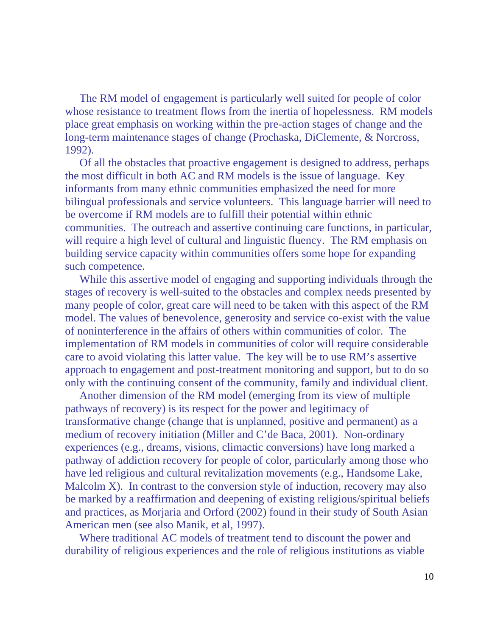The RM model of engagement is particularly well suited for people of color whose resistance to treatment flows from the inertia of hopelessness. RM models place great emphasis on working within the pre-action stages of change and the long-term maintenance stages of change (Prochaska, DiClemente, & Norcross, 1992).

Of all the obstacles that proactive engagement is designed to address, perhaps the most difficult in both AC and RM models is the issue of language. Key informants from many ethnic communities emphasized the need for more bilingual professionals and service volunteers. This language barrier will need to be overcome if RM models are to fulfill their potential within ethnic communities. The outreach and assertive continuing care functions, in particular, will require a high level of cultural and linguistic fluency. The RM emphasis on building service capacity within communities offers some hope for expanding such competence.

While this assertive model of engaging and supporting individuals through the stages of recovery is well-suited to the obstacles and complex needs presented by many people of color, great care will need to be taken with this aspect of the RM model. The values of benevolence, generosity and service co-exist with the value of noninterference in the affairs of others within communities of color. The implementation of RM models in communities of color will require considerable care to avoid violating this latter value. The key will be to use RM's assertive approach to engagement and post-treatment monitoring and support, but to do so only with the continuing consent of the community, family and individual client.

Another dimension of the RM model (emerging from its view of multiple pathways of recovery) is its respect for the power and legitimacy of transformative change (change that is unplanned, positive and permanent) as a medium of recovery initiation (Miller and C'de Baca, 2001). Non-ordinary experiences (e.g., dreams, visions, climactic conversions) have long marked a pathway of addiction recovery for people of color, particularly among those who have led religious and cultural revitalization movements (e.g., Handsome Lake, Malcolm X). In contrast to the conversion style of induction, recovery may also be marked by a reaffirmation and deepening of existing religious/spiritual beliefs and practices, as Morjaria and Orford (2002) found in their study of South Asian American men (see also Manik, et al, 1997).

Where traditional AC models of treatment tend to discount the power and durability of religious experiences and the role of religious institutions as viable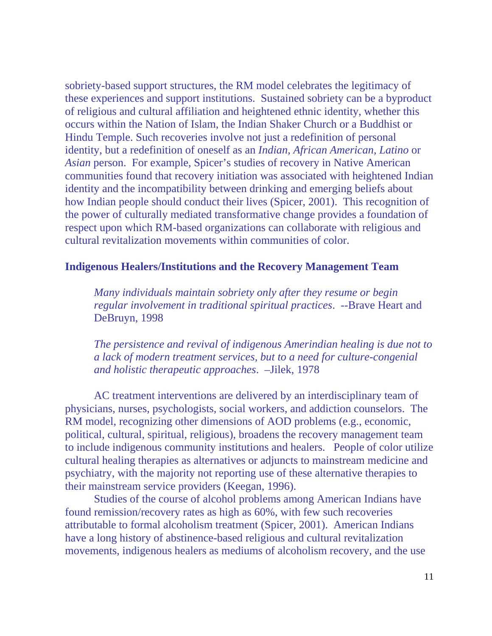sobriety-based support structures, the RM model celebrates the legitimacy of these experiences and support institutions. Sustained sobriety can be a byproduct of religious and cultural affiliation and heightened ethnic identity, whether this occurs within the Nation of Islam, the Indian Shaker Church or a Buddhist or Hindu Temple. Such recoveries involve not just a redefinition of personal identity, but a redefinition of oneself as an *Indian, African American, Latino* or *Asian* person. For example, Spicer's studies of recovery in Native American communities found that recovery initiation was associated with heightened Indian identity and the incompatibility between drinking and emerging beliefs about how Indian people should conduct their lives (Spicer, 2001). This recognition of the power of culturally mediated transformative change provides a foundation of respect upon which RM-based organizations can collaborate with religious and cultural revitalization movements within communities of color.

# **Indigenous Healers/Institutions and the Recovery Management Team**

*Many individuals maintain sobriety only after they resume or begin regular involvement in traditional spiritual practices*. --Brave Heart and DeBruyn, 1998

*The persistence and revival of indigenous Amerindian healing is due not to a lack of modern treatment services, but to a need for culture-congenial and holistic therapeutic approaches*. –Jilek, 1978

 AC treatment interventions are delivered by an interdisciplinary team of physicians, nurses, psychologists, social workers, and addiction counselors. The RM model, recognizing other dimensions of AOD problems (e.g., economic, political, cultural, spiritual, religious), broadens the recovery management team to include indigenous community institutions and healers. People of color utilize cultural healing therapies as alternatives or adjuncts to mainstream medicine and psychiatry, with the majority not reporting use of these alternative therapies to their mainstream service providers (Keegan, 1996).

 Studies of the course of alcohol problems among American Indians have found remission/recovery rates as high as 60%, with few such recoveries attributable to formal alcoholism treatment (Spicer, 2001). American Indians have a long history of abstinence-based religious and cultural revitalization movements, indigenous healers as mediums of alcoholism recovery, and the use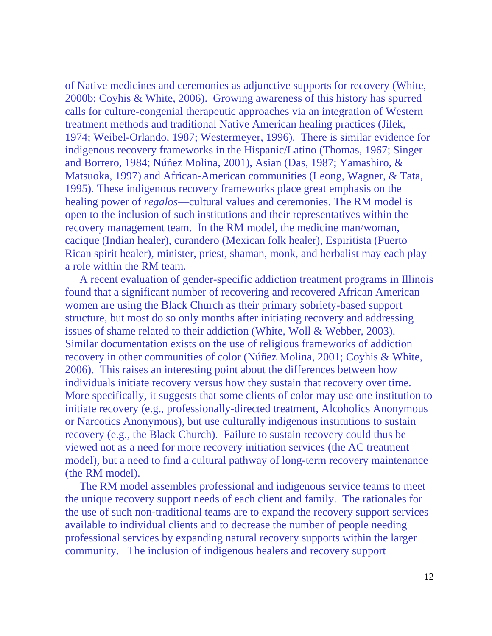of Native medicines and ceremonies as adjunctive supports for recovery (White, 2000b; Coyhis & White, 2006). Growing awareness of this history has spurred calls for culture-congenial therapeutic approaches via an integration of Western treatment methods and traditional Native American healing practices (Jilek, 1974; Weibel-Orlando, 1987; Westermeyer, 1996). There is similar evidence for indigenous recovery frameworks in the Hispanic/Latino (Thomas, 1967; Singer and Borrero, 1984; Núñez Molina, 2001), Asian (Das, 1987; Yamashiro, & Matsuoka, 1997) and African-American communities (Leong, Wagner, & Tata, 1995). These indigenous recovery frameworks place great emphasis on the healing power of *regalos*—cultural values and ceremonies. The RM model is open to the inclusion of such institutions and their representatives within the recovery management team. In the RM model, the medicine man/woman, cacique (Indian healer), curandero (Mexican folk healer), Espiritista (Puerto Rican spirit healer), minister, priest, shaman, monk, and herbalist may each play a role within the RM team.

A recent evaluation of gender-specific addiction treatment programs in Illinois found that a significant number of recovering and recovered African American women are using the Black Church as their primary sobriety-based support structure, but most do so only months after initiating recovery and addressing issues of shame related to their addiction (White, Woll & Webber, 2003). Similar documentation exists on the use of religious frameworks of addiction recovery in other communities of color (Núñez Molina, 2001; Coyhis & White, 2006). This raises an interesting point about the differences between how individuals initiate recovery versus how they sustain that recovery over time. More specifically, it suggests that some clients of color may use one institution to initiate recovery (e.g., professionally-directed treatment, Alcoholics Anonymous or Narcotics Anonymous), but use culturally indigenous institutions to sustain recovery (e.g., the Black Church). Failure to sustain recovery could thus be viewed not as a need for more recovery initiation services (the AC treatment model), but a need to find a cultural pathway of long-term recovery maintenance (the RM model).

The RM model assembles professional and indigenous service teams to meet the unique recovery support needs of each client and family. The rationales for the use of such non-traditional teams are to expand the recovery support services available to individual clients and to decrease the number of people needing professional services by expanding natural recovery supports within the larger community. The inclusion of indigenous healers and recovery support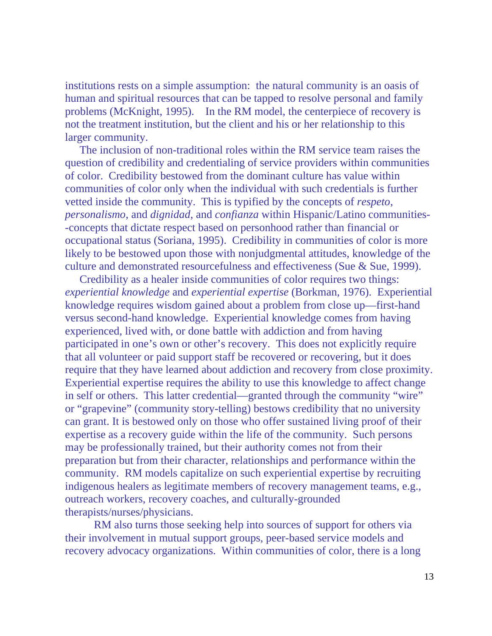institutions rests on a simple assumption: the natural community is an oasis of human and spiritual resources that can be tapped to resolve personal and family problems (McKnight, 1995). In the RM model, the centerpiece of recovery is not the treatment institution, but the client and his or her relationship to this larger community.

The inclusion of non-traditional roles within the RM service team raises the question of credibility and credentialing of service providers within communities of color. Credibility bestowed from the dominant culture has value within communities of color only when the individual with such credentials is further vetted inside the community. This is typified by the concepts of *respeto*, *personalismo*, and *dignidad*, and *confianza* within Hispanic/Latino communities- -concepts that dictate respect based on personhood rather than financial or occupational status (Soriana, 1995). Credibility in communities of color is more likely to be bestowed upon those with nonjudgmental attitudes, knowledge of the culture and demonstrated resourcefulness and effectiveness (Sue & Sue, 1999).

Credibility as a healer inside communities of color requires two things: *experiential knowledge* and *experiential expertise* (Borkman, 1976). Experiential knowledge requires wisdom gained about a problem from close up—first-hand versus second-hand knowledge. Experiential knowledge comes from having experienced, lived with, or done battle with addiction and from having participated in one's own or other's recovery. This does not explicitly require that all volunteer or paid support staff be recovered or recovering, but it does require that they have learned about addiction and recovery from close proximity. Experiential expertise requires the ability to use this knowledge to affect change in self or others. This latter credential—granted through the community "wire" or "grapevine" (community story-telling) bestows credibility that no university can grant. It is bestowed only on those who offer sustained living proof of their expertise as a recovery guide within the life of the community. Such persons may be professionally trained, but their authority comes not from their preparation but from their character, relationships and performance within the community. RM models capitalize on such experiential expertise by recruiting indigenous healers as legitimate members of recovery management teams, e.g., outreach workers, recovery coaches, and culturally-grounded therapists/nurses/physicians.

 RM also turns those seeking help into sources of support for others via their involvement in mutual support groups, peer-based service models and recovery advocacy organizations. Within communities of color, there is a long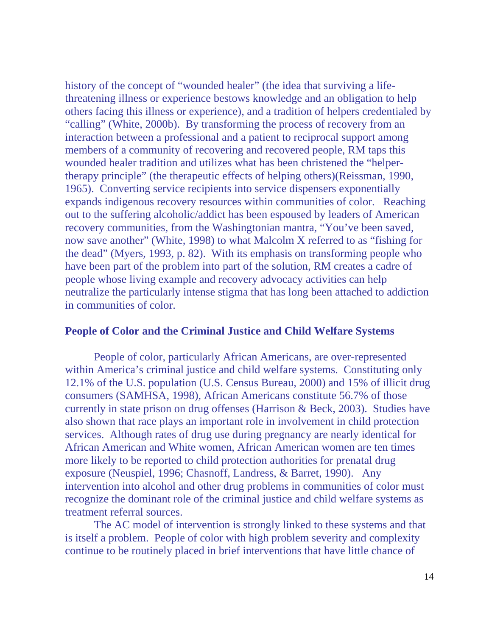history of the concept of "wounded healer" (the idea that surviving a lifethreatening illness or experience bestows knowledge and an obligation to help others facing this illness or experience), and a tradition of helpers credentialed by "calling" (White, 2000b). By transforming the process of recovery from an interaction between a professional and a patient to reciprocal support among members of a community of recovering and recovered people, RM taps this wounded healer tradition and utilizes what has been christened the "helpertherapy principle" (the therapeutic effects of helping others)(Reissman, 1990, 1965). Converting service recipients into service dispensers exponentially expands indigenous recovery resources within communities of color. Reaching out to the suffering alcoholic/addict has been espoused by leaders of American recovery communities, from the Washingtonian mantra, "You've been saved, now save another" (White, 1998) to what Malcolm X referred to as "fishing for the dead" (Myers, 1993, p. 82). With its emphasis on transforming people who have been part of the problem into part of the solution, RM creates a cadre of people whose living example and recovery advocacy activities can help neutralize the particularly intense stigma that has long been attached to addiction in communities of color.

### **People of Color and the Criminal Justice and Child Welfare Systems**

People of color, particularly African Americans, are over-represented within America's criminal justice and child welfare systems. Constituting only 12.1% of the U.S. population (U.S. Census Bureau, 2000) and 15% of illicit drug consumers (SAMHSA, 1998), African Americans constitute 56.7% of those currently in state prison on drug offenses (Harrison & Beck, 2003). Studies have also shown that race plays an important role in involvement in child protection services. Although rates of drug use during pregnancy are nearly identical for African American and White women, African American women are ten times more likely to be reported to child protection authorities for prenatal drug exposure (Neuspiel, 1996; Chasnoff, Landress, & Barret, 1990). Any intervention into alcohol and other drug problems in communities of color must recognize the dominant role of the criminal justice and child welfare systems as treatment referral sources.

The AC model of intervention is strongly linked to these systems and that is itself a problem. People of color with high problem severity and complexity continue to be routinely placed in brief interventions that have little chance of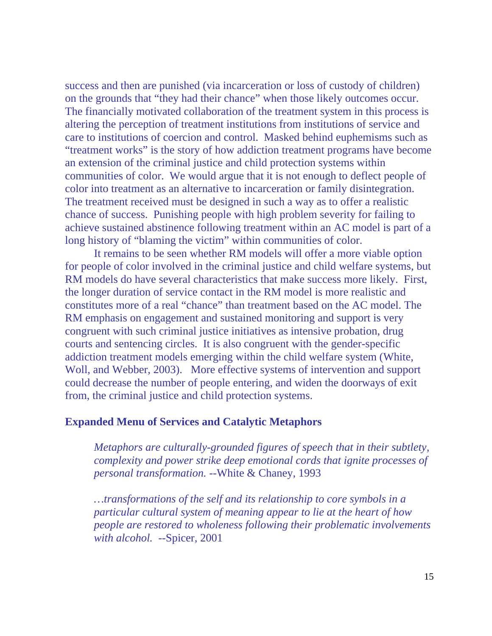success and then are punished (via incarceration or loss of custody of children) on the grounds that "they had their chance" when those likely outcomes occur. The financially motivated collaboration of the treatment system in this process is altering the perception of treatment institutions from institutions of service and care to institutions of coercion and control. Masked behind euphemisms such as "treatment works" is the story of how addiction treatment programs have become an extension of the criminal justice and child protection systems within communities of color. We would argue that it is not enough to deflect people of color into treatment as an alternative to incarceration or family disintegration. The treatment received must be designed in such a way as to offer a realistic chance of success. Punishing people with high problem severity for failing to achieve sustained abstinence following treatment within an AC model is part of a long history of "blaming the victim" within communities of color.

It remains to be seen whether RM models will offer a more viable option for people of color involved in the criminal justice and child welfare systems, but RM models do have several characteristics that make success more likely. First, the longer duration of service contact in the RM model is more realistic and constitutes more of a real "chance" than treatment based on the AC model. The RM emphasis on engagement and sustained monitoring and support is very congruent with such criminal justice initiatives as intensive probation, drug courts and sentencing circles. It is also congruent with the gender-specific addiction treatment models emerging within the child welfare system (White, Woll, and Webber, 2003). More effective systems of intervention and support could decrease the number of people entering, and widen the doorways of exit from, the criminal justice and child protection systems.

### **Expanded Menu of Services and Catalytic Metaphors**

*Metaphors are culturally-grounded figures of speech that in their subtlety, complexity and power strike deep emotional cords that ignite processes of personal transformation.* --White & Chaney, 1993

*…transformations of the self and its relationship to core symbols in a particular cultural system of meaning appear to lie at the heart of how people are restored to wholeness following their problematic involvements with alcohol.* --Spicer, 2001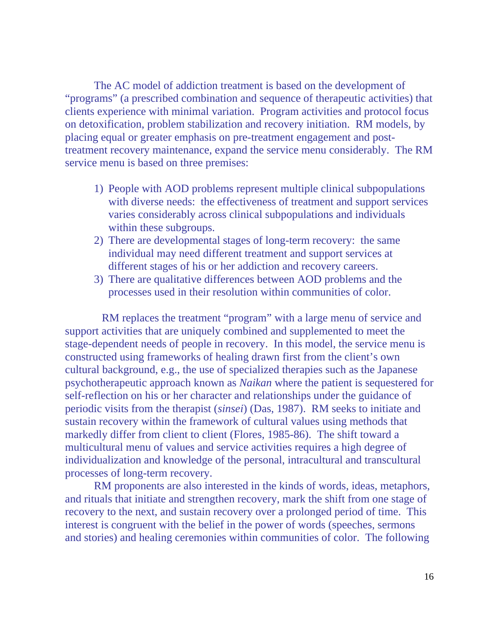The AC model of addiction treatment is based on the development of "programs" (a prescribed combination and sequence of therapeutic activities) that clients experience with minimal variation. Program activities and protocol focus on detoxification, problem stabilization and recovery initiation. RM models, by placing equal or greater emphasis on pre-treatment engagement and posttreatment recovery maintenance, expand the service menu considerably. The RM service menu is based on three premises:

- 1) People with AOD problems represent multiple clinical subpopulations with diverse needs: the effectiveness of treatment and support services varies considerably across clinical subpopulations and individuals within these subgroups.
- 2) There are developmental stages of long-term recovery: the same individual may need different treatment and support services at different stages of his or her addiction and recovery careers.
- 3) There are qualitative differences between AOD problems and the processes used in their resolution within communities of color.

 RM replaces the treatment "program" with a large menu of service and support activities that are uniquely combined and supplemented to meet the stage-dependent needs of people in recovery. In this model, the service menu is constructed using frameworks of healing drawn first from the client's own cultural background, e.g., the use of specialized therapies such as the Japanese psychotherapeutic approach known as *Naikan* where the patient is sequestered for self-reflection on his or her character and relationships under the guidance of periodic visits from the therapist (*sinsei*) (Das, 1987). RM seeks to initiate and sustain recovery within the framework of cultural values using methods that markedly differ from client to client (Flores, 1985-86). The shift toward a multicultural menu of values and service activities requires a high degree of individualization and knowledge of the personal, intracultural and transcultural processes of long-term recovery.

 RM proponents are also interested in the kinds of words, ideas, metaphors, and rituals that initiate and strengthen recovery, mark the shift from one stage of recovery to the next, and sustain recovery over a prolonged period of time. This interest is congruent with the belief in the power of words (speeches, sermons and stories) and healing ceremonies within communities of color. The following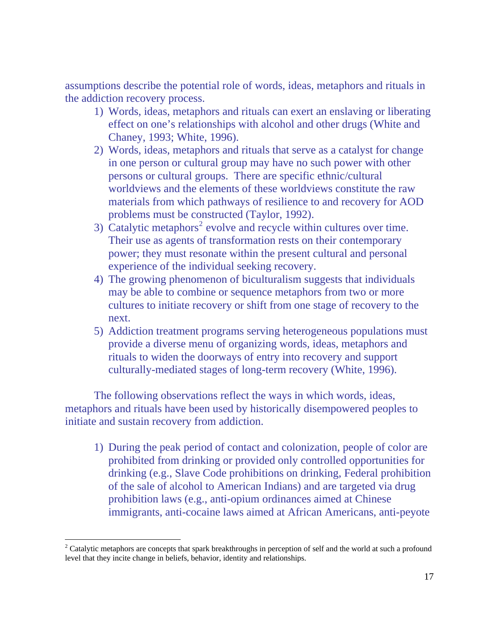assumptions describe the potential role of words, ideas, metaphors and rituals in the addiction recovery process.

- 1) Words, ideas, metaphors and rituals can exert an enslaving or liberating effect on one's relationships with alcohol and other drugs (White and Chaney, 1993; White, 1996).
- 2) Words, ideas, metaphors and rituals that serve as a catalyst for change in one person or cultural group may have no such power with other persons or cultural groups. There are specific ethnic/cultural worldviews and the elements of these worldviews constitute the raw materials from which pathways of resilience to and recovery for AOD problems must be constructed (Taylor, 1992).
- 3) Catalytic metaphors<sup>[2](#page-16-0)</sup> evolve and recycle within cultures over time. Their use as agents of transformation rests on their contemporary power; they must resonate within the present cultural and personal experience of the individual seeking recovery.
- 4) The growing phenomenon of biculturalism suggests that individuals may be able to combine or sequence metaphors from two or more cultures to initiate recovery or shift from one stage of recovery to the next.
- 5) Addiction treatment programs serving heterogeneous populations must provide a diverse menu of organizing words, ideas, metaphors and rituals to widen the doorways of entry into recovery and support culturally-mediated stages of long-term recovery (White, 1996).

The following observations reflect the ways in which words, ideas, metaphors and rituals have been used by historically disempowered peoples to initiate and sustain recovery from addiction.

1) During the peak period of contact and colonization, people of color are prohibited from drinking or provided only controlled opportunities for drinking (e.g., Slave Code prohibitions on drinking, Federal prohibition of the sale of alcohol to American Indians) and are targeted via drug prohibition laws (e.g., anti-opium ordinances aimed at Chinese immigrants, anti-cocaine laws aimed at African Americans, anti-peyote

 $\overline{a}$ 

<span id="page-16-0"></span> $2^2$  Catalytic metaphors are concepts that spark breakthroughs in perception of self and the world at such a profound level that they incite change in beliefs, behavior, identity and relationships.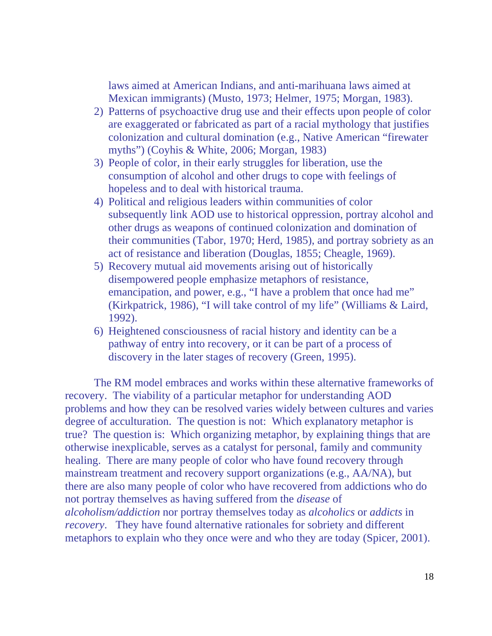laws aimed at American Indians, and anti-marihuana laws aimed at Mexican immigrants) (Musto, 1973; Helmer, 1975; Morgan, 1983).

- 2) Patterns of psychoactive drug use and their effects upon people of color are exaggerated or fabricated as part of a racial mythology that justifies colonization and cultural domination (e.g., Native American "firewater myths") (Coyhis & White, 2006; Morgan, 1983)
- 3) People of color, in their early struggles for liberation, use the consumption of alcohol and other drugs to cope with feelings of hopeless and to deal with historical trauma.
- 4) Political and religious leaders within communities of color subsequently link AOD use to historical oppression, portray alcohol and other drugs as weapons of continued colonization and domination of their communities (Tabor, 1970; Herd, 1985), and portray sobriety as an act of resistance and liberation (Douglas, 1855; Cheagle, 1969).
- 5) Recovery mutual aid movements arising out of historically disempowered people emphasize metaphors of resistance, emancipation, and power, e.g., "I have a problem that once had me" (Kirkpatrick, 1986), "I will take control of my life" (Williams & Laird, 1992).
- 6) Heightened consciousness of racial history and identity can be a pathway of entry into recovery, or it can be part of a process of discovery in the later stages of recovery (Green, 1995).

The RM model embraces and works within these alternative frameworks of recovery. The viability of a particular metaphor for understanding AOD problems and how they can be resolved varies widely between cultures and varies degree of acculturation. The question is not: Which explanatory metaphor is true? The question is: Which organizing metaphor, by explaining things that are otherwise inexplicable, serves as a catalyst for personal, family and community healing. There are many people of color who have found recovery through mainstream treatment and recovery support organizations (e.g., AA/NA), but there are also many people of color who have recovered from addictions who do not portray themselves as having suffered from the *disease* of *alcoholism/addiction* nor portray themselves today as *alcoholics* or *addicts* in *recovery*. They have found alternative rationales for sobriety and different metaphors to explain who they once were and who they are today (Spicer, 2001).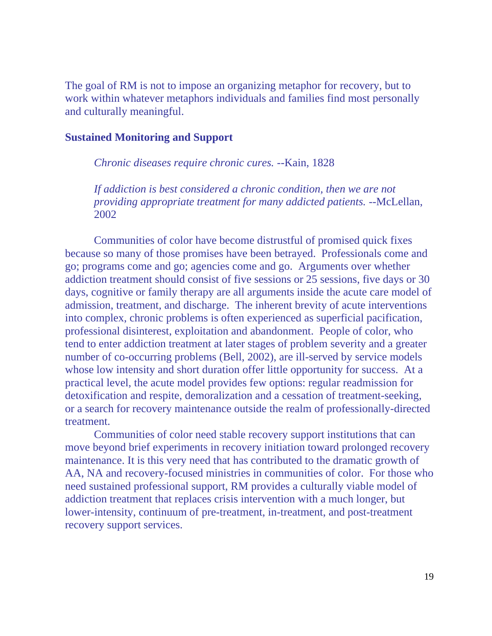The goal of RM is not to impose an organizing metaphor for recovery, but to work within whatever metaphors individuals and families find most personally and culturally meaningful.

## **Sustained Monitoring and Support**

*Chronic diseases require chronic cures.* --Kain, 1828

*If addiction is best considered a chronic condition, then we are not providing appropriate treatment for many addicted patients.* --McLellan, 2002

Communities of color have become distrustful of promised quick fixes because so many of those promises have been betrayed. Professionals come and go; programs come and go; agencies come and go. Arguments over whether addiction treatment should consist of five sessions or 25 sessions, five days or 30 days, cognitive or family therapy are all arguments inside the acute care model of admission, treatment, and discharge. The inherent brevity of acute interventions into complex, chronic problems is often experienced as superficial pacification, professional disinterest, exploitation and abandonment. People of color, who tend to enter addiction treatment at later stages of problem severity and a greater number of co-occurring problems (Bell, 2002), are ill-served by service models whose low intensity and short duration offer little opportunity for success. At a practical level, the acute model provides few options: regular readmission for detoxification and respite, demoralization and a cessation of treatment-seeking, or a search for recovery maintenance outside the realm of professionally-directed treatment.

Communities of color need stable recovery support institutions that can move beyond brief experiments in recovery initiation toward prolonged recovery maintenance. It is this very need that has contributed to the dramatic growth of AA, NA and recovery-focused ministries in communities of color. For those who need sustained professional support, RM provides a culturally viable model of addiction treatment that replaces crisis intervention with a much longer, but lower-intensity, continuum of pre-treatment, in-treatment, and post-treatment recovery support services.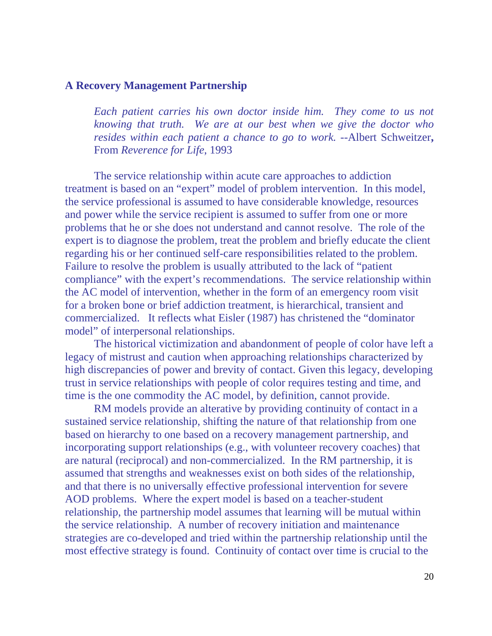#### **A Recovery Management Partnership**

*Each patient carries his own doctor inside him. They come to us not knowing that truth. We are at our best when we give the doctor who resides within each patient a chance to go to work.* --Albert Schweitzer**,**  From *Reverence for Life*, 1993

 The service relationship within acute care approaches to addiction treatment is based on an "expert" model of problem intervention. In this model, the service professional is assumed to have considerable knowledge, resources and power while the service recipient is assumed to suffer from one or more problems that he or she does not understand and cannot resolve. The role of the expert is to diagnose the problem, treat the problem and briefly educate the client regarding his or her continued self-care responsibilities related to the problem. Failure to resolve the problem is usually attributed to the lack of "patient compliance" with the expert's recommendations. The service relationship within the AC model of intervention, whether in the form of an emergency room visit for a broken bone or brief addiction treatment, is hierarchical, transient and commercialized. It reflects what Eisler (1987) has christened the "dominator model" of interpersonal relationships.

The historical victimization and abandonment of people of color have left a legacy of mistrust and caution when approaching relationships characterized by high discrepancies of power and brevity of contact. Given this legacy, developing trust in service relationships with people of color requires testing and time, and time is the one commodity the AC model, by definition, cannot provide.

RM models provide an alterative by providing continuity of contact in a sustained service relationship, shifting the nature of that relationship from one based on hierarchy to one based on a recovery management partnership, and incorporating support relationships (e.g., with volunteer recovery coaches) that are natural (reciprocal) and non-commercialized. In the RM partnership, it is assumed that strengths and weaknesses exist on both sides of the relationship, and that there is no universally effective professional intervention for severe AOD problems. Where the expert model is based on a teacher-student relationship, the partnership model assumes that learning will be mutual within the service relationship. A number of recovery initiation and maintenance strategies are co-developed and tried within the partnership relationship until the most effective strategy is found. Continuity of contact over time is crucial to the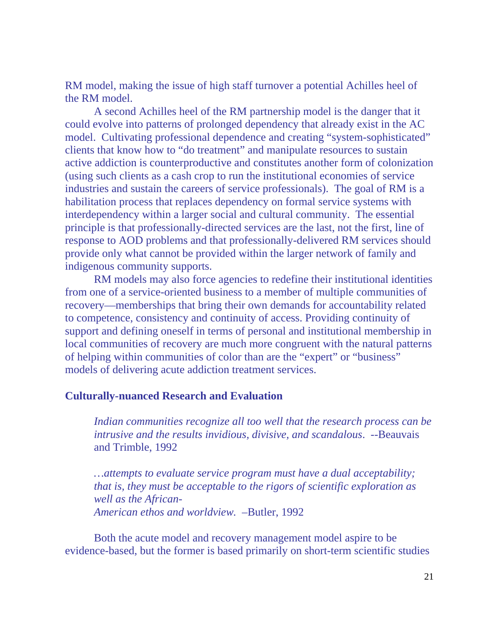RM model, making the issue of high staff turnover a potential Achilles heel of the RM model.

A second Achilles heel of the RM partnership model is the danger that it could evolve into patterns of prolonged dependency that already exist in the AC model. Cultivating professional dependence and creating "system-sophisticated" clients that know how to "do treatment" and manipulate resources to sustain active addiction is counterproductive and constitutes another form of colonization (using such clients as a cash crop to run the institutional economies of service industries and sustain the careers of service professionals). The goal of RM is a habilitation process that replaces dependency on formal service systems with interdependency within a larger social and cultural community. The essential principle is that professionally-directed services are the last, not the first, line of response to AOD problems and that professionally-delivered RM services should provide only what cannot be provided within the larger network of family and indigenous community supports.

 RM models may also force agencies to redefine their institutional identities from one of a service-oriented business to a member of multiple communities of recovery—memberships that bring their own demands for accountability related to competence, consistency and continuity of access. Providing continuity of support and defining oneself in terms of personal and institutional membership in local communities of recovery are much more congruent with the natural patterns of helping within communities of color than are the "expert" or "business" models of delivering acute addiction treatment services.

## **Culturally-nuanced Research and Evaluation**

*Indian communities recognize all too well that the research process can be intrusive and the results invidious, divisive, and scandalous*. --Beauvais and Trimble, 1992

*…attempts to evaluate service program must have a dual acceptability; that is, they must be acceptable to the rigors of scientific exploration as well as the African-American ethos and worldview.* –Butler, 1992

 Both the acute model and recovery management model aspire to be evidence-based, but the former is based primarily on short-term scientific studies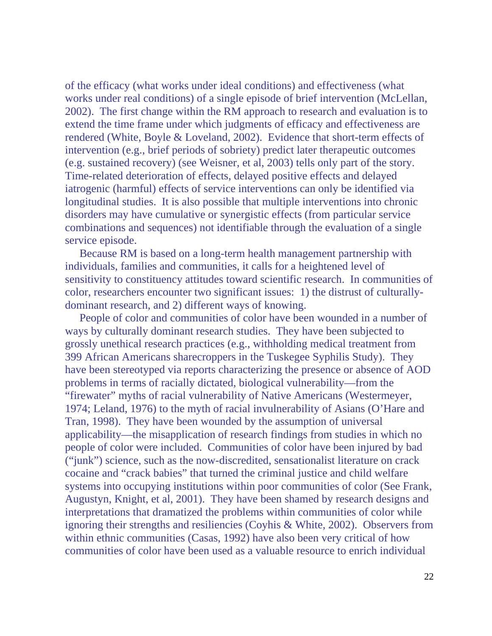of the efficacy (what works under ideal conditions) and effectiveness (what works under real conditions) of a single episode of brief intervention (McLellan, 2002). The first change within the RM approach to research and evaluation is to extend the time frame under which judgments of efficacy and effectiveness are rendered (White, Boyle & Loveland, 2002). Evidence that short-term effects of intervention (e.g., brief periods of sobriety) predict later therapeutic outcomes (e.g. sustained recovery) (see Weisner, et al, 2003) tells only part of the story. Time-related deterioration of effects, delayed positive effects and delayed iatrogenic (harmful) effects of service interventions can only be identified via longitudinal studies. It is also possible that multiple interventions into chronic disorders may have cumulative or synergistic effects (from particular service combinations and sequences) not identifiable through the evaluation of a single service episode.

Because RM is based on a long-term health management partnership with individuals, families and communities, it calls for a heightened level of sensitivity to constituency attitudes toward scientific research. In communities of color, researchers encounter two significant issues: 1) the distrust of culturallydominant research, and 2) different ways of knowing.

People of color and communities of color have been wounded in a number of ways by culturally dominant research studies. They have been subjected to grossly unethical research practices (e.g., withholding medical treatment from 399 African Americans sharecroppers in the Tuskegee Syphilis Study). They have been stereotyped via reports characterizing the presence or absence of AOD problems in terms of racially dictated, biological vulnerability—from the "firewater" myths of racial vulnerability of Native Americans (Westermeyer, 1974; Leland, 1976) to the myth of racial invulnerability of Asians (O'Hare and Tran, 1998). They have been wounded by the assumption of universal applicability—the misapplication of research findings from studies in which no people of color were included. Communities of color have been injured by bad ("junk") science, such as the now-discredited, sensationalist literature on crack cocaine and "crack babies" that turned the criminal justice and child welfare systems into occupying institutions within poor communities of color (See Frank, Augustyn, Knight, et al, 2001). They have been shamed by research designs and interpretations that dramatized the problems within communities of color while ignoring their strengths and resiliencies (Coyhis & White, 2002). Observers from within ethnic communities (Casas, 1992) have also been very critical of how communities of color have been used as a valuable resource to enrich individual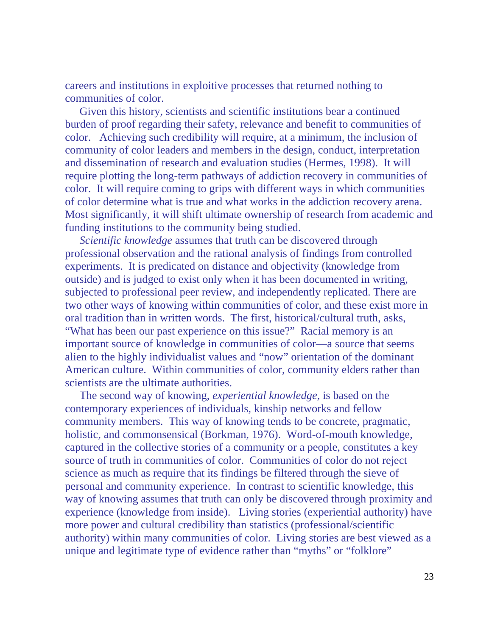careers and institutions in exploitive processes that returned nothing to communities of color.

Given this history, scientists and scientific institutions bear a continued burden of proof regarding their safety, relevance and benefit to communities of color. Achieving such credibility will require, at a minimum, the inclusion of community of color leaders and members in the design, conduct, interpretation and dissemination of research and evaluation studies (Hermes, 1998). It will require plotting the long-term pathways of addiction recovery in communities of color. It will require coming to grips with different ways in which communities of color determine what is true and what works in the addiction recovery arena. Most significantly, it will shift ultimate ownership of research from academic and funding institutions to the community being studied.

*Scientific knowledge* assumes that truth can be discovered through professional observation and the rational analysis of findings from controlled experiments. It is predicated on distance and objectivity (knowledge from outside) and is judged to exist only when it has been documented in writing, subjected to professional peer review, and independently replicated. There are two other ways of knowing within communities of color, and these exist more in oral tradition than in written words. The first, historical/cultural truth, asks, "What has been our past experience on this issue?" Racial memory is an important source of knowledge in communities of color—a source that seems alien to the highly individualist values and "now" orientation of the dominant American culture. Within communities of color, community elders rather than scientists are the ultimate authorities.

The second way of knowing, *experiential knowledge*, is based on the contemporary experiences of individuals, kinship networks and fellow community members. This way of knowing tends to be concrete, pragmatic, holistic, and commonsensical (Borkman, 1976). Word-of-mouth knowledge, captured in the collective stories of a community or a people, constitutes a key source of truth in communities of color. Communities of color do not reject science as much as require that its findings be filtered through the sieve of personal and community experience. In contrast to scientific knowledge, this way of knowing assumes that truth can only be discovered through proximity and experience (knowledge from inside). Living stories (experiential authority) have more power and cultural credibility than statistics (professional/scientific authority) within many communities of color. Living stories are best viewed as a unique and legitimate type of evidence rather than "myths" or "folklore"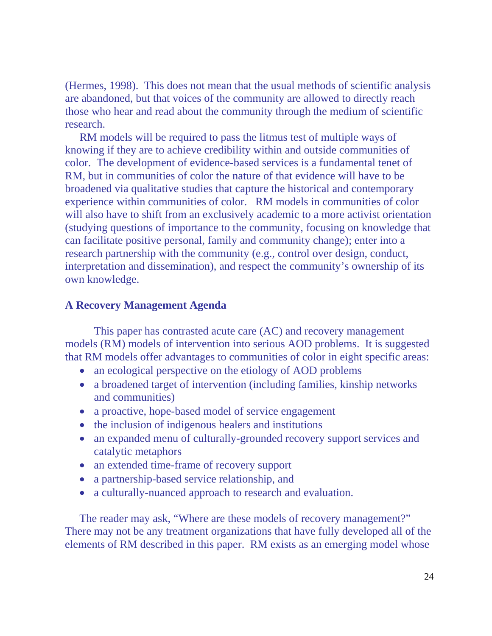(Hermes, 1998). This does not mean that the usual methods of scientific analysis are abandoned, but that voices of the community are allowed to directly reach those who hear and read about the community through the medium of scientific research.

RM models will be required to pass the litmus test of multiple ways of knowing if they are to achieve credibility within and outside communities of color. The development of evidence-based services is a fundamental tenet of RM, but in communities of color the nature of that evidence will have to be broadened via qualitative studies that capture the historical and contemporary experience within communities of color. RM models in communities of color will also have to shift from an exclusively academic to a more activist orientation (studying questions of importance to the community, focusing on knowledge that can facilitate positive personal, family and community change); enter into a research partnership with the community (e.g., control over design, conduct, interpretation and dissemination), and respect the community's ownership of its own knowledge.

## **A Recovery Management Agenda**

This paper has contrasted acute care (AC) and recovery management models (RM) models of intervention into serious AOD problems. It is suggested that RM models offer advantages to communities of color in eight specific areas:

- an ecological perspective on the etiology of AOD problems
- a broadened target of intervention (including families, kinship networks and communities)
- a proactive, hope-based model of service engagement
- the inclusion of indigenous healers and institutions
- an expanded menu of culturally-grounded recovery support services and catalytic metaphors
- an extended time-frame of recovery support
- a partnership-based service relationship, and
- a culturally-nuanced approach to research and evaluation.

The reader may ask, "Where are these models of recovery management?" There may not be any treatment organizations that have fully developed all of the elements of RM described in this paper. RM exists as an emerging model whose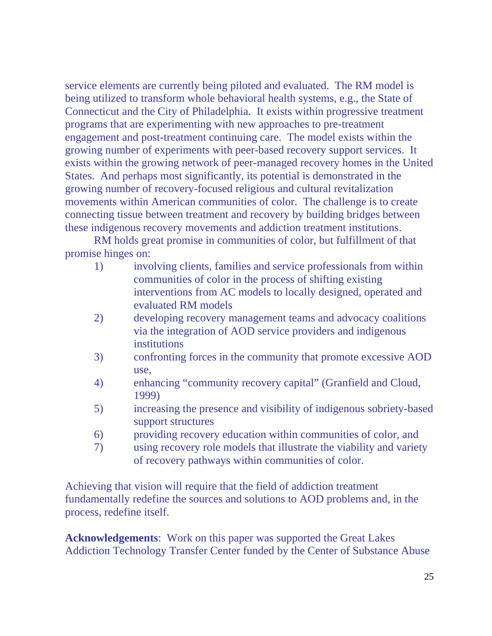service elements are currently being piloted and evaluated. The RM model is being utilized to transform whole behavioral health systems, e.g., the State of Connecticut and the City of Philadelphia. It exists within progressive treatment programs that are experimenting with new approaches to pre-treatment engagement and post-treatment continuing care. The model exists within the growing number of experiments with peer-based recovery support services. It exists within the growing network of peer-managed recovery homes in the United States. And perhaps most significantly, its potential is demonstrated in the growing number of recovery-focused religious and cultural revitalization movements within American communities of color. The challenge is to create connecting tissue between treatment and recovery by building bridges between these indigenous recovery movements and addiction treatment institutions.

 RM holds great promise in communities of color, but fulfillment of that promise hinges on:

- 1) involving clients, families and service professionals from within communities of color in the process of shifting existing interventions from AC models to locally designed, operated and evaluated RM models
- 2) developing recovery management teams and advocacy coalitions via the integration of AOD service providers and indigenous **institutions**
- 3) confronting forces in the community that promote excessive AOD use,
- 4) enhancing "community recovery capital" (Granfield and Cloud, 1999)
- 5) increasing the presence and visibility of indigenous sobriety-based support structures
- 6) providing recovery education within communities of color, and
- 7) using recovery role models that illustrate the viability and variety of recovery pathways within communities of color.

Achieving that vision will require that the field of addiction treatment fundamentally redefine the sources and solutions to AOD problems and, in the process, redefine itself.

**Acknowledgements**: Work on this paper was supported the Great Lakes Addiction Technology Transfer Center funded by the Center of Substance Abuse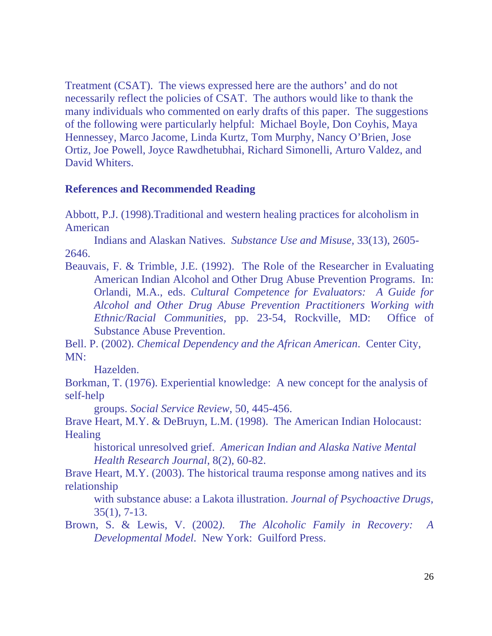Treatment (CSAT). The views expressed here are the authors' and do not necessarily reflect the policies of CSAT. The authors would like to thank the many individuals who commented on early drafts of this paper. The suggestions of the following were particularly helpful: Michael Boyle, Don Coyhis, Maya Hennessey, Marco Jacome, Linda Kurtz, Tom Murphy, Nancy O'Brien, Jose Ortiz, Joe Powell, Joyce Rawdhetubhai, Richard Simonelli, Arturo Valdez, and David Whiters.

## **References and Recommended Reading**

Abbott, P.J. (1998).Traditional and western healing practices for alcoholism in American

Indians and Alaskan Natives. *Substance Use and Misuse,* 33(13), 2605- 2646.

Beauvais, F. & Trimble, J.E. (1992). The Role of the Researcher in Evaluating American Indian Alcohol and Other Drug Abuse Prevention Programs. In: Orlandi, M.A., eds. *Cultural Competence for Evaluators: A Guide for Alcohol and Other Drug Abuse Prevention Practitioners Working with Ethnic/Racial Communities*, pp. 23-54, Rockville, MD: Office of Substance Abuse Prevention.

Bell. P. (2002). *Chemical Dependency and the African American*. Center City, MN:

Hazelden.

Borkman, T. (1976). Experiential knowledge: A new concept for the analysis of self-help

groups. *Social Service Review*, 50, 445-456.

Brave Heart, M.Y. & DeBruyn, L.M. (1998). The American Indian Holocaust: Healing

historical unresolved grief. *American Indian and Alaska Native Mental Health Research Journal*, 8(2), 60-82.

Brave Heart, M.Y. (2003). The historical trauma response among natives and its relationship

with substance abuse: a Lakota illustration. *Journal of Psychoactive Drugs,* 35(1), 7-13.

Brown, S. & Lewis, V. (2002*). The Alcoholic Family in Recovery: A Developmental Model*. New York: Guilford Press.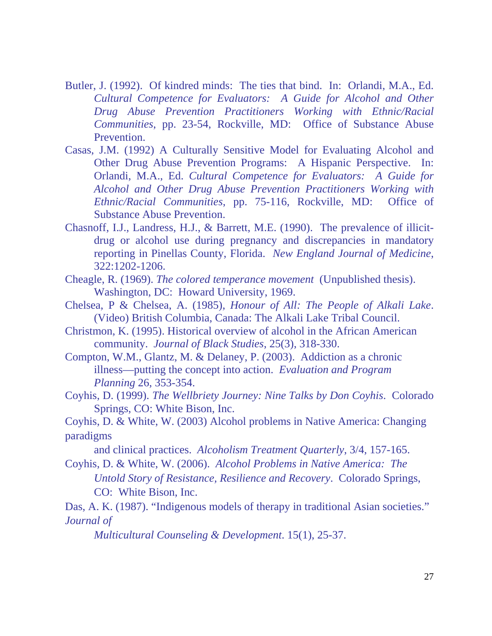- Butler, J. (1992). Of kindred minds: The ties that bind. In: Orlandi, M.A., Ed. *Cultural Competence for Evaluators: A Guide for Alcohol and Other Drug Abuse Prevention Practitioners Working with Ethnic/Racial Communities*, pp. 23-54, Rockville, MD: Office of Substance Abuse Prevention.
- Casas, J.M. (1992) A Culturally Sensitive Model for Evaluating Alcohol and Other Drug Abuse Prevention Programs: A Hispanic Perspective. In: Orlandi, M.A., Ed. *Cultural Competence for Evaluators: A Guide for Alcohol and Other Drug Abuse Prevention Practitioners Working with Ethnic/Racial Communities*, pp. 75-116, Rockville, MD: Office of Substance Abuse Prevention.
- Chasnoff, I.J., Landress, H.J., & Barrett, M.E. (1990). The prevalence of illicitdrug or alcohol use during pregnancy and discrepancies in mandatory reporting in Pinellas County, Florida. *New England Journal of Medicine*, 322:1202-1206.
- Cheagle, R. (1969). *The colored temperance movement* (Unpublished thesis). Washington, DC: Howard University, 1969.
- Chelsea, P & Chelsea, A. (1985), *Honour of All: The People of Alkali Lake*. (Video) British Columbia, Canada: The Alkali Lake Tribal Council.
- Christmon, K. (1995). Historical overview of alcohol in the African American community. *Journal of Black Studies*, 25(3), 318-330.
- Compton, W.M., Glantz, M. & Delaney, P. (2003). Addiction as a chronic illness—putting the concept into action. *Evaluation and Program Planning* 26, 353-354.
- Coyhis, D. (1999). *The Wellbriety Journey: Nine Talks by Don Coyhis*. Colorado Springs, CO: White Bison, Inc.

Coyhis, D. & White, W. (2003) Alcohol problems in Native America: Changing paradigms

and clinical practices. *Alcoholism Treatment Quarterly*, 3/4, 157-165.

Coyhis, D. & White, W. (2006). *Alcohol Problems in Native America: The Untold Story of Resistance, Resilience and Recovery*. Colorado Springs, CO: White Bison, Inc.

Das, A. K. (1987). "Indigenous models of therapy in traditional Asian societies." *Journal of* 

 *Multicultural Counseling & Development*. 15(1), 25-37.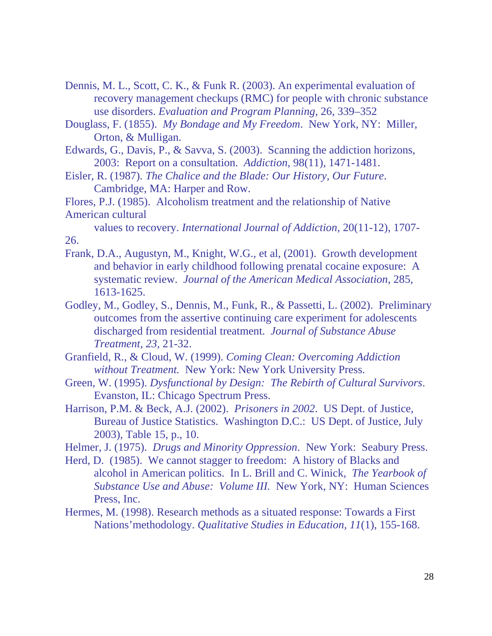- Dennis, M. L., Scott, C. K., & Funk R. (2003). An experimental evaluation of recovery management checkups (RMC) for people with chronic substance use disorders. *Evaluation and Program Planning,* 26, 339–352
- Douglass, F. (1855). *My Bondage and My Freedom*. New York, NY: Miller, Orton, & Mulligan.
- Edwards, G., Davis, P., & Savva, S. (2003). Scanning the addiction horizons, 2003: Report on a consultation. *Addiction*, 98(11), 1471-1481.
- Eisler, R. (1987)*. The Chalice and the Blade: Our History, Our Future*. Cambridge, MA: Harper and Row.

Flores, P.J. (1985). Alcoholism treatment and the relationship of Native American cultural

 values to recovery. *International Journal of Addiction*, 20(11-12), 1707- 26.

- Frank, D.A., Augustyn, M., Knight, W.G., et al, (2001). Growth development and behavior in early childhood following prenatal cocaine exposure: A systematic review. *Journal of the American Medical Association*, 285, 1613-1625.
- Godley, M., Godley, S., Dennis, M., Funk, R., & Passetti, L. (2002). Preliminary outcomes from the assertive continuing care experiment for adolescents discharged from residential treatment. *Journal of Substance Abuse Treatment, 23,* 21-32.
- Granfield, R., & Cloud, W. (1999). *Coming Clean: Overcoming Addiction without Treatment.* New York: New York University Press.
- Green, W. (1995). *Dysfunctional by Design: The Rebirth of Cultural Survivors*. Evanston, IL: Chicago Spectrum Press.
- Harrison, P.M. & Beck, A.J. (2002). *Prisoners in 2002*. US Dept. of Justice, Bureau of Justice Statistics. Washington D.C.: US Dept. of Justice, July 2003), Table 15, p., 10.
- Helmer, J. (1975). *Drugs and Minority Oppression*. New York: Seabury Press.
- Herd, D. (1985). We cannot stagger to freedom: A history of Blacks and alcohol in American politics. In L. Brill and C. Winick, *The Yearbook of Substance Use and Abuse: Volume III.* New York, NY: Human Sciences Press, Inc.
- Hermes, M. (1998). Research methods as a situated response: Towards a First Nations'methodology. *Qualitative Studies in Education, 11*(1), 155-168.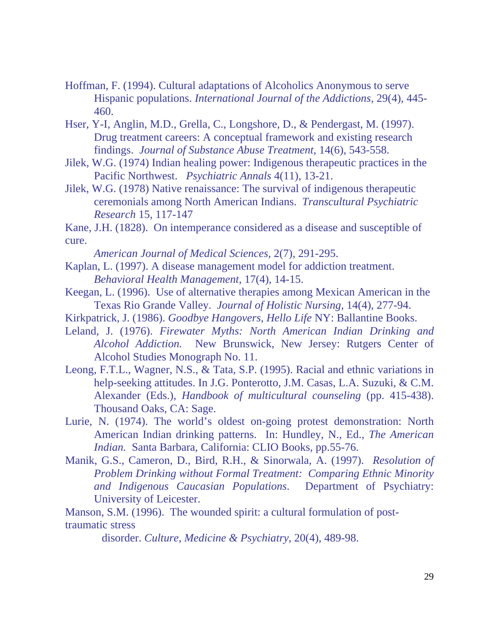- Hoffman, F. (1994). Cultural adaptations of Alcoholics Anonymous to serve Hispanic populations. *International Journal of the Addictions*, 29(4), 445- 460.
- Hser, Y-I, Anglin, M.D., Grella, C., Longshore, D., & Pendergast, M. (1997). Drug treatment careers: A conceptual framework and existing research findings. *Journal of Substance Abuse Treatment,* 14(6), 543-558.
- Jilek, W.G. (1974) Indian healing power: Indigenous therapeutic practices in the Pacific Northwest. *Psychiatric Annals* 4(11), 13-21.
- Jilek, W.G. (1978) Native renaissance: The survival of indigenous therapeutic ceremonials among North American Indians. *Transcultural Psychiatric Research* 15, 117-147

Kane, J.H. (1828). On intemperance considered as a disease and susceptible of cure.

*American Journal of Medical Sciences,* 2(7), 291-295.

- Kaplan, L. (1997). A disease management model for addiction treatment. *Behavioral Health Management*, 17(4), 14-15.
- Keegan, L. (1996). Use of alternative therapies among Mexican American in the Texas Rio Grande Valley. *Journal of Holistic Nursing*, 14(4), 277-94.
- Kirkpatrick, J. (1986). *Goodbye Hangovers, Hello Life* NY: Ballantine Books.
- Leland, J. (1976). *Firewater Myths: North American Indian Drinking and Alcohol Addiction.* New Brunswick, New Jersey: Rutgers Center of Alcohol Studies Monograph No. 11.
- Leong, F.T.L., Wagner, N.S., & Tata, S.P. (1995). Racial and ethnic variations in help-seeking attitudes. In J.G. Ponterotto, J.M. Casas, L.A. Suzuki, & C.M. Alexander (Eds.), *Handbook of multicultural counseling* (pp. 415-438). Thousand Oaks, CA: Sage.
- Lurie, N. (1974). The world's oldest on-going protest demonstration: North American Indian drinking patterns. In: Hundley, N., Ed., *The American Indian.* Santa Barbara, California: CLIO Books, pp.55-76.
- Manik, G.S., Cameron, D., Bird, R.H., & Sinorwala, A. (1997). *Resolution of Problem Drinking without Formal Treatment: Comparing Ethnic Minority and Indigenous Caucasian Populations*. Department of Psychiatry: University of Leicester.

Manson, S.M. (1996). The wounded spirit: a cultural formulation of posttraumatic stress

disorder. *Culture, Medicine & Psychiatry*, 20(4), 489-98.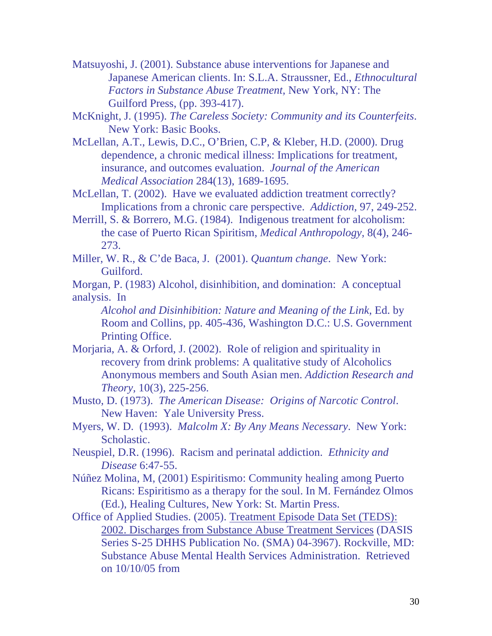- Matsuyoshi, J. (2001). Substance abuse interventions for Japanese and Japanese American clients. In: S.L.A. Straussner, Ed., *Ethnocultural Factors in Substance Abuse Treatment,* New York, NY: The Guilford Press, (pp. 393-417).
- McKnight, J. (1995). *The Careless Society: Community and its Counterfeits*. New York: Basic Books.
- McLellan, A.T., Lewis, D.C., O'Brien, C.P, & Kleber, H.D. (2000). Drug dependence, a chronic medical illness: Implications for treatment, insurance, and outcomes evaluation. *Journal of the American Medical Association* 284(13), 1689-1695.
- McLellan, T. (2002). Have we evaluated addiction treatment correctly? Implications from a chronic care perspective. *Addiction*, 97, 249-252.
- Merrill, S. & Borrero, M.G. (1984). Indigenous treatment for alcoholism: the case of Puerto Rican Spiritism, *Medical Anthropology*, 8(4), 246- 273.
- Miller, W. R., & C'de Baca, J. (2001). *Quantum change*. New York: Guilford.

Morgan, P. (1983) Alcohol, disinhibition, and domination: A conceptual analysis. In

*Alcohol and Disinhibition: Nature and Meaning of the Link*, Ed. by Room and Collins, pp. 405-436, Washington D.C.: U.S. Government Printing Office.

- Morjaria, A. & Orford, J. (2002). Role of religion and spirituality in recovery from drink problems: A qualitative study of Alcoholics Anonymous members and South Asian men. *Addiction Research and Theory,* 10(3), 225-256.
- Musto, D. (1973). *The American Disease: Origins of Narcotic Control*. New Haven: Yale University Press.
- Myers, W. D. (1993). *Malcolm X: By Any Means Necessary*. New York: Scholastic.
- Neuspiel, D.R. (1996). Racism and perinatal addiction. *Ethnicity and Disease* 6:47-55.
- Núñez Molina, M, (2001) Espiritismo: Community healing among Puerto Ricans: Espiritismo as a therapy for the soul. In M. Fernández Olmos (Ed.), Healing Cultures, New York: St. Martin Press.
- Office of Applied Studies. (2005). Treatment Episode Data Set (TEDS): 2002. Discharges from Substance Abuse Treatment Services (DASIS Series S-25 DHHS Publication No. (SMA) 04-3967). Rockville, MD: Substance Abuse Mental Health Services Administration. Retrieved on 10/10/05 from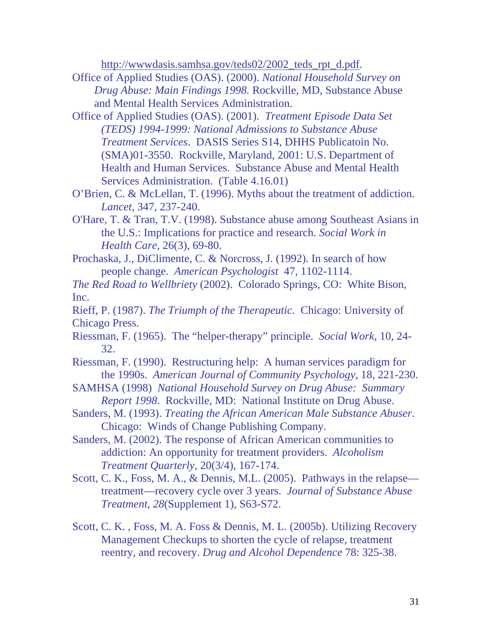http://wwwdasis.samhsa.gov/teds02/2002 teds rpt d.pdf.

- Office of Applied Studies (OAS). (2000). *National Household Survey on Drug Abuse: Main Findings 1998.* Rockville, MD, Substance Abuse and Mental Health Services Administration.
- Office of Applied Studies (OAS). (2001). *Treatment Episode Data Set (TEDS) 1994-1999: National Admissions to Substance Abuse Treatment Services*. DASIS Series S14, DHHS Publicatoin No. (SMA)01-3550. Rockville, Maryland, 2001: U.S. Department of Health and Human Services. Substance Abuse and Mental Health Services Administration. (Table 4.16.01)
- O'Brien, C. & McLellan, T. (1996). Myths about the treatment of addiction. *Lancet,* 347, 237-240.
- O'Hare, T. & Tran, T.V. (1998). Substance abuse among Southeast Asians in the U.S.: Implications for practice and research. *Social Work in Health Care*, 26(3), 69-80.
- Prochaska, J., DiClimente, C. & Norcross, J. (1992). In search of how people change. *American Psychologist* 47, 1102-1114.
- *The Red Road to Wellbriety* (2002). Colorado Springs, CO: White Bison, Inc.

Rieff, P. (1987). *The Triumph of the Therapeutic*. Chicago: University of Chicago Press.

- Riessman, F. (1965). The "helper-therapy" principle. *Social Work,* 10, 24- 32.
- Riessman, F. (1990). Restructuring help: A human services paradigm for the 1990s. *American Journal of Community Psychology,* 18, 221-230.
- SAMHSA (1998) *National Household Survey on Drug Abuse: Summary Report 1998*. Rockville, MD: National Institute on Drug Abuse.
- Sanders, M. (1993). *Treating the African American Male Substance Abuser*. Chicago: Winds of Change Publishing Company.
- Sanders, M. (2002). The response of African American communities to addiction: An opportunity for treatment providers. *Alcoholism Treatment Quarterly,* 20(3/4), 167-174.
- Scott, C. K., Foss, M. A., & Dennis, M.L. (2005). Pathways in the relapse treatment—recovery cycle over 3 years. *Journal of Substance Abuse Treatment*, *28*(Supplement 1), S63-S72.
- Scott, C. K. , Foss, M. A. Foss & Dennis, M. L. (2005b). Utilizing Recovery Management Checkups to shorten the cycle of relapse, treatment reentry, and recovery. *Drug and Alcohol Dependence* 78: 325-38.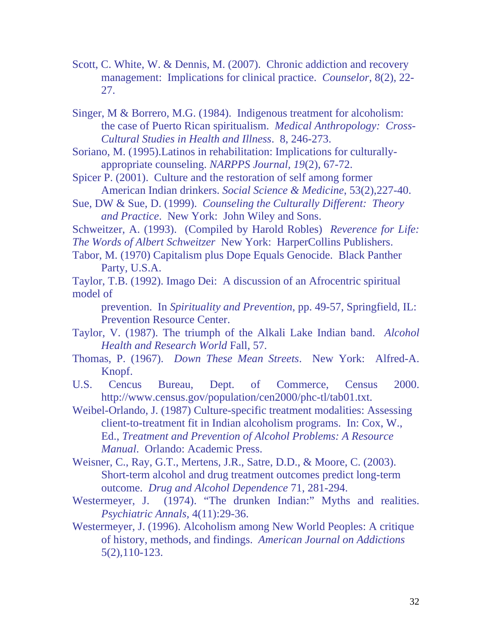- Scott, C. White, W. & Dennis, M. (2007). Chronic addiction and recovery management: Implications for clinical practice. *Counselor*, 8(2), 22- 27.
- Singer, M & Borrero, M.G. (1984). Indigenous treatment for alcoholism: the case of Puerto Rican spiritualism. *Medical Anthropology: Cross-Cultural Studies in Health and Illness*. 8, 246-273.
- Soriano, M. (1995).Latinos in rehabilitation: Implications for culturallyappropriate counseling. *NARPPS Journal, 19*(2), 67-72.
- Spicer P. (2001). Culture and the restoration of self among former American Indian drinkers. *Social Science & Medicine*, 53(2),227-40.
- Sue, DW & Sue, D. (1999). *Counseling the Culturally Different: Theory and Practice*. New York: John Wiley and Sons.

Schweitzer, A. (1993). (Compiled by Harold Robles) *Reverence for Life: The Words of Albert Schweitzer* New York: HarperCollins Publishers.

Tabor, M. (1970) Capitalism plus Dope Equals Genocide. Black Panther Party, U.S.A.

Taylor, T.B. (1992). Imago Dei: A discussion of an Afrocentric spiritual model of

prevention. In *Spirituality and Prevention*, pp. 49-57, Springfield, IL: Prevention Resource Center.

- Taylor, V. (1987). The triumph of the Alkali Lake Indian band. *Alcohol Health and Research World* Fall, 57.
- Thomas, P. (1967). *Down These Mean Streets*. New York: Alfred-A. Knopf.
- U.S. Cencus Bureau, Dept. of Commerce, Census 2000. http://www.census.gov/population/cen2000/phc-tl/tab01.txt.
- Weibel-Orlando, J. (1987) Culture-specific treatment modalities: Assessing client-to-treatment fit in Indian alcoholism programs. In: Cox, W., Ed., *Treatment and Prevention of Alcohol Problems: A Resource Manual*. Orlando: Academic Press.

Weisner, C., Ray, G.T., Mertens, J.R., Satre, D.D., & Moore, C. (2003). Short-term alcohol and drug treatment outcomes predict long-term outcome. *Drug and Alcohol Dependence* 71, 281-294.

- Westermeyer, J. (1974). "The drunken Indian:" Myths and realities. *Psychiatric Annals,* 4(11):29-36.
- Westermeyer, J. (1996). Alcoholism among New World Peoples: A critique of history, methods, and findings. *American Journal on Addictions* 5(2),110-123.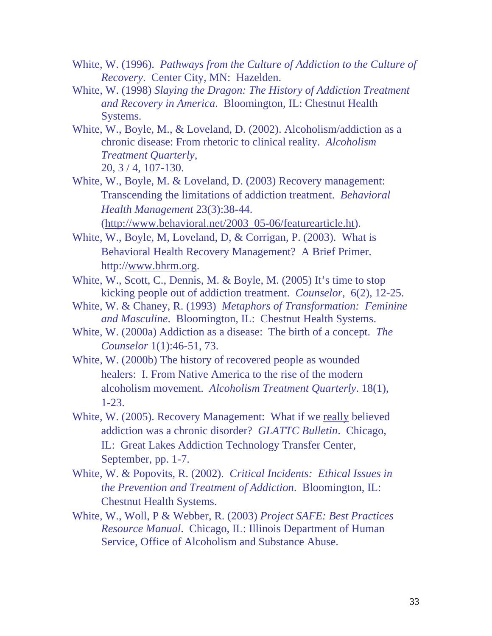- White, W. (1996). *Pathways from the Culture of Addiction to the Culture of Recovery*. Center City, MN: Hazelden.
- White, W. (1998) *Slaying the Dragon: The History of Addiction Treatment and Recovery in America*. Bloomington, IL: Chestnut Health Systems.
- White, W., Boyle, M., & Loveland, D. (2002). Alcoholism/addiction as a chronic disease: From rhetoric to clinical reality. *Alcoholism Treatment Quarterly,*  20, 3 / 4, 107-130.
- White, W., Boyle, M. & Loveland, D. (2003) Recovery management: Transcending the limitations of addiction treatment. *Behavioral Health Management* 23(3):38-44.

([http://www.behavioral.net/2003\\_05-06/featurearticle.ht](http://www.behavioral.net/2003_05-06/featurearticle.ht)). White, W., Boyle, M, Loveland, D, & Corrigan, P. (2003). What is

- Behavioral Health Recovery Management? A Brief Primer. http:/[/www.bhrm.org.](http://www.bhrm.org/)
- White, W., Scott, C., Dennis, M. & Boyle, M. (2005) It's time to stop kicking people out of addiction treatment. *Counselor,* 6(2), 12-25.
- White, W. & Chaney, R. (1993) *Metaphors of Transformation: Feminine and Masculine*. Bloomington, IL: Chestnut Health Systems.
- White, W. (2000a) Addiction as a disease: The birth of a concept. *The Counselor* 1(1):46-51, 73.
- White, W. (2000b) The history of recovered people as wounded healers: I. From Native America to the rise of the modern alcoholism movement. *Alcoholism Treatment Quarterly*. 18(1), 1-23.
- White, W. (2005). Recovery Management: What if we really believed addiction was a chronic disorder? *GLATTC Bulletin*. Chicago, IL: Great Lakes Addiction Technology Transfer Center, September, pp. 1-7.
- White, W. & Popovits, R. (2002). *Critical Incidents: Ethical Issues in the Prevention and Treatment of Addiction*. Bloomington, IL: Chestnut Health Systems.
- White, W., Woll, P & Webber, R. (2003) *Project SAFE: Best Practices Resource Manual*. Chicago, IL: Illinois Department of Human Service, Office of Alcoholism and Substance Abuse.